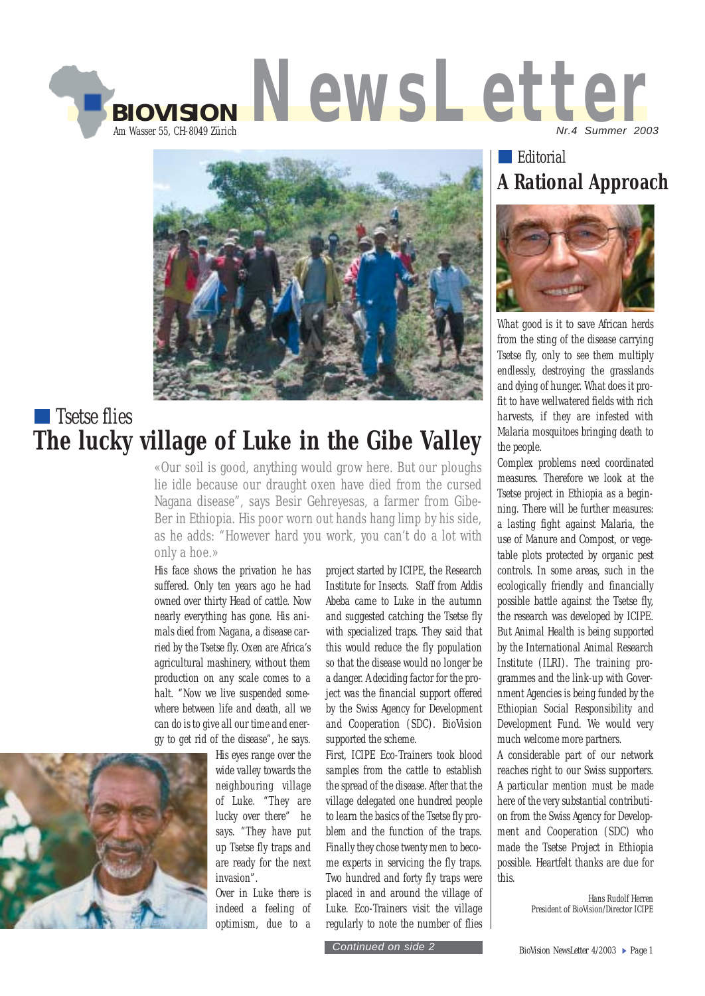



## **T** Tsetse flies **The lucky village of Luke in the Gibe Valley**

«Our soil is good, anything would grow here. But our ploughs lie idle because our draught oxen have died from the cursed Nagana disease", says Besir Gehreyesas, a farmer from Gibe-Ber in Ethiopia. His poor worn out hands hang limp by his side, as he adds: "However hard you work, you can't do a lot with only a hoe.»

His face shows the privation he has suffered. Only ten years ago he had owned over thirty Head of cattle. Now nearly everything has gone. His animals died from Nagana, a disease carried by the Tsetse fly. Oxen are Africa's agricultural mashinery, without them production on any scale comes to a halt. "Now we live suspended somewhere between life and death, all we can do is to give all our time and energy to get rid of the disease", he says.



His eyes range over the wide valley towards the neighbouring village of Luke. "They are lucky over there" he says. "They have put up Tsetse fly traps and are ready for the next invasion".

Over in Luke there is indeed a feeling of optimism, due to a

project started by ICIPE, the Research Institute for Insects. Staff from Addis Abeba came to Luke in the autumn and suggested catching the Tsetse fly with specialized traps. They said that this would reduce the fly population so that the disease would no longer be a danger. A deciding factor for the project was the financial support offered by the Swiss Agency for Development and Cooperation (SDC). BioVision supported the scheme.

First, ICIPE Eco-Trainers took blood samples from the cattle to establish the spread of the disease. After that the village delegated one hundred people to learn the basics of the Tsetse fly problem and the function of the traps. Finally they chose twenty men to become experts in servicing the fly traps. Two hundred and forty fly traps were placed in and around the village of Luke. Eco-Trainers visit the village regularly to note the number of flies

**Editorial A Rational Approach**



What good is it to save African herds from the sting of the disease carrying Tsetse fly, only to see them multiply endlessly, destroying the grasslands and dying of hunger. What does it profit to have wellwatered fields with rich harvests, if they are infested with Malaria mosquitoes bringing death to the people.

Complex problems need coordinated measures. Therefore we look at the Tsetse project in Ethiopia as a beginning. There will be further measures: a lasting fight against Malaria, the use of Manure and Compost, or vegetable plots protected by organic pest controls. In some areas, such in the ecologically friendly and financially possible battle against the Tsetse fly, the research was developed by ICIPE. But Animal Health is being supported by the International Animal Research Institute (ILRI). The training programmes and the link-up with Government Agencies is being funded by the Ethiopian Social Responsibility and Development Fund. We would very much welcome more partners.

A considerable part of our network reaches right to our Swiss supporters. A particular mention must be made here of the very substantial contribution from the Swiss Agency for Development and Cooperation (SDC) who made the Tsetse Project in Ethiopia possible. Heartfelt thanks are due for this.

> Hans Rudolf Herren President of BioVision/Director ICIPE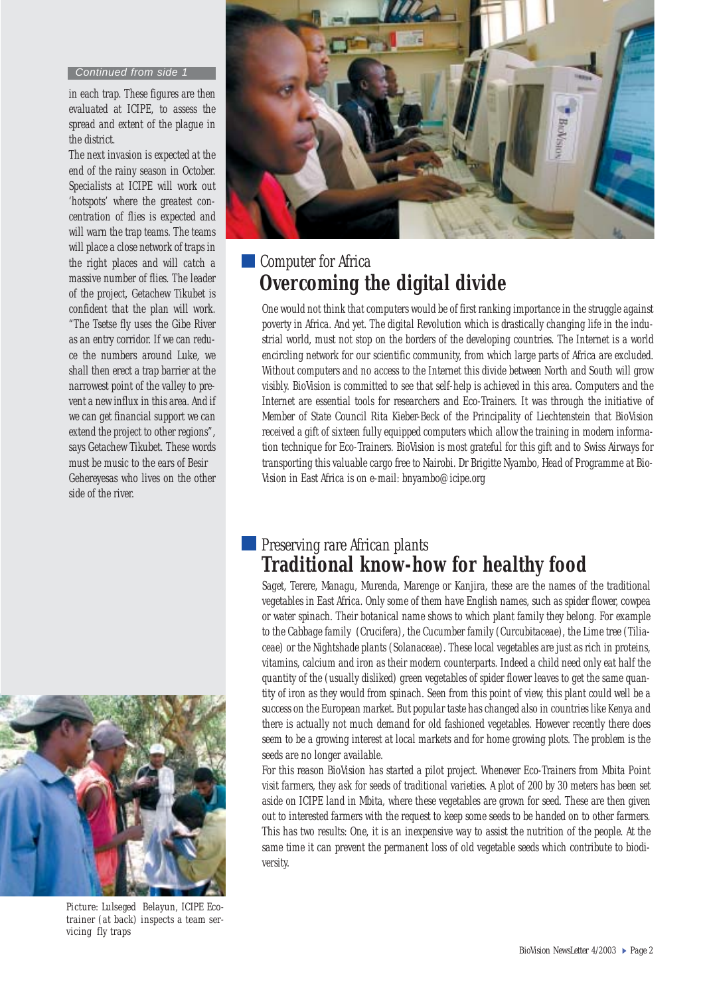#### *Continued from side 1*

in each trap. These figures are then evaluated at ICIPE, to assess the spread and extent of the plague in the district.

The next invasion is expected at the end of the rainy season in October. Specialists at ICIPE will work out 'hotspots' where the greatest concentration of flies is expected and will warn the trap teams. The teams will place a close network of traps in the right places and will catch a massive number of flies. The leader of the project, Getachew Tikubet is confident that the plan will work. "The Tsetse fly uses the Gibe River as an entry corridor. If we can reduce the numbers around Luke, we shall then erect a trap barrier at the narrowest point of the valley to prevent a new influx in this area. And if we can get financial support we can extend the project to other regions", says Getachew Tikubet. These words must be music to the ears of Besir Gehereyesas who lives on the other side of the river.



*Picture: Lulseged Belayun, ICIPE Ecotrainer (at back) inspects a team servicing fly traps*



### **Computer for Africa Overcoming the digital divide**

One would not think that computers would be of first ranking importance in the struggle against poverty in Africa. And yet. The digital Revolution which is drastically changing life in the industrial world, must not stop on the borders of the developing countries. The Internet is a world encircling network for our scientific community, from which large parts of Africa are excluded. Without computers and no access to the Internet this divide between North and South will grow visibly. BioVision is committed to see that self-help is achieved in this area. Computers and the Internet are essential tools for researchers and Eco-Trainers. It was through the initiative of Member of State Council Rita Kieber-Beck of the Principality of Liechtenstein that BioVision received a gift of sixteen fully equipped computers which allow the training in modern information technique for Eco-Trainers. BioVision is most grateful for this gift and to Swiss Airways for transporting this valuable cargo free to Nairobi. Dr Brigitte Nyambo, Head of Programme at Bio-Vision in East Africa is on e-mail: bnyambo@icipe.org

### Preserving rare African plants **Traditional know-how for healthy food**

Saget, Terere, Managu, Murenda, Marenge or Kanjira, these are the names of the traditional vegetables in East Africa. Only some of them have English names, such as spider flower, cowpea or water spinach. Their botanical name shows to which plant family they belong. For example to the Cabbage family (Crucifera), the Cucumber family (Curcubitaceae), the Lime tree (Tiliaceae) or the Nightshade plants (Solanaceae). These local vegetables are just as rich in proteins, vitamins, calcium and iron as their modern counterparts. Indeed a child need only eat half the quantity of the (usually disliked) green vegetables of spider flower leaves to get the same quantity of iron as they would from spinach. Seen from this point of view, this plant could well be a success on the European market. But popular taste has changed also in countries like Kenya and there is actually not much demand for old fashioned vegetables. However recently there does seem to be a growing interest at local markets and for home growing plots. The problem is the seeds are no longer available.

For this reason BioVision has started a pilot project. Whenever Eco-Trainers from Mbita Point visit farmers, they ask for seeds of traditional varieties. A plot of 200 by 30 meters has been set aside on ICIPE land in Mbita, where these vegetables are grown for seed. These are then given out to interested farmers with the request to keep some seeds to be handed on to other farmers. This has two results: One, it is an inexpensive way to assist the nutrition of the people. At the same time it can prevent the permanent loss of old vegetable seeds which contribute to biodiversity.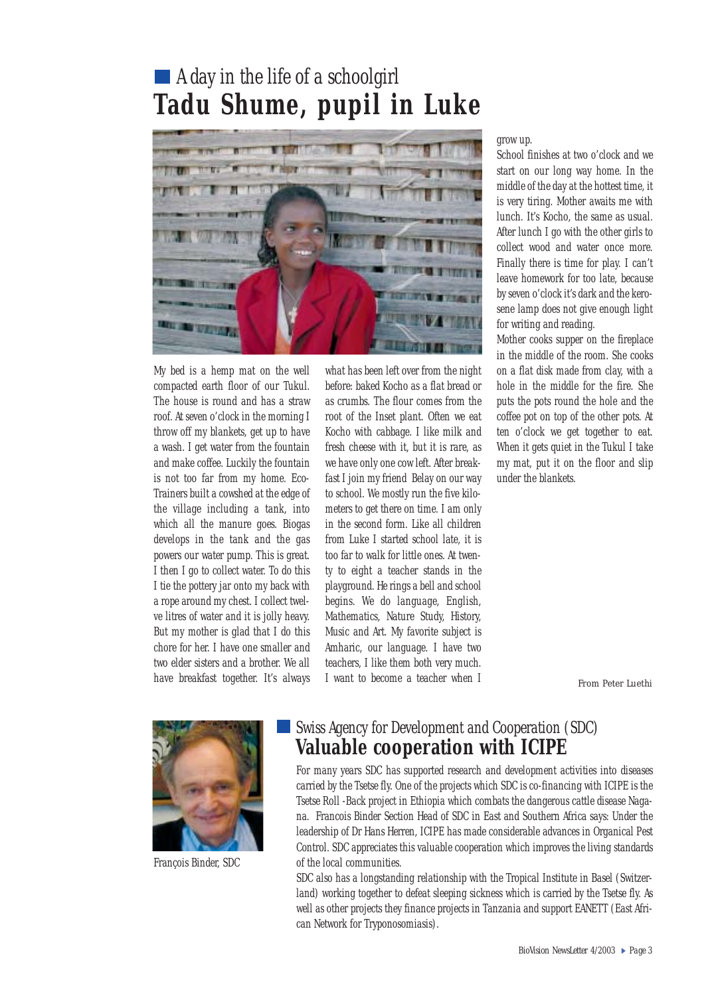# A day in the life of a schoolgirl **Tadu Shume, pupil in Luke**



My bed is a hemp mat on the well compacted earth floor of our Tukul. The house is round and has a straw roof. At seven o'clock in the morning I throw off my blankets, get up to have a wash. I get water from the fountain and make coffee. Luckily the fountain is not too far from my home. Eco-Trainers built a cowshed at the edge of the village including a tank, into which all the manure goes. Biogas develops in the tank and the gas powers our water pump. This is great. I then I go to collect water. To do this I tie the pottery jar onto my back with a rope around my chest. I collect twelve litres of water and it is jolly heavy. But my mother is glad that I do this chore for her. I have one smaller and two elder sisters and a brother. We all have breakfast together. It's always

what has been left over from the night before: baked Kocho as a flat bread or as crumbs. The flour comes from the root of the Inset plant. Often we eat Kocho with cabbage. I like milk and fresh cheese with it, but it is rare, as we have only one cow left. After breakfast I join my friend Belay on our way to school. We mostly run the five kilometers to get there on time. I am only in the second form. Like all children from Luke I started school late, it is too far to walk for little ones. At twenty to eight a teacher stands in the playground. He rings a bell and school begins. We do language, English, Mathematics, Nature Study, History, Music and Art. My favorite subject is Amharic, our language. I have two teachers, I like them both very much. I want to become a teacher when I *From Peter Luethi* 

#### grow up.

School finishes at two o'clock and we start on our long way home. In the middle of the day at the hottest time, it is very tiring. Mother awaits me with lunch. It's Kocho, the same as usual. After lunch I go with the other girls to collect wood and water once more. Finally there is time for play. I can't leave homework for too late, because by seven o'clock it's dark and the kerosene lamp does not give enough light for writing and reading.

Mother cooks supper on the fireplace in the middle of the room. She cooks on a flat disk made from clay, with a hole in the middle for the fire. She puts the pots round the hole and the coffee pot on top of the other pots. At ten o'clock we get together to eat. When it gets quiet in the Tukul I take my mat, put it on the floor and slip under the blankets.



François Binder, SDC

#### Swiss Agency for Development and Cooperation (SDC) **Valuable cooperation with ICIPE**

For many years SDC has supported research and development activities into diseases carried by the Tsetse fly. One of the projects which SDC is co-financing with ICIPE is the Tsetse Roll -Back project in Ethiopia which combats the dangerous cattle disease Nagana. Francois Binder Section Head of SDC in East and Southern Africa says: Under the leadership of Dr Hans Herren, ICIPE has made considerable advances in Organical Pest Control. SDC appreciates this valuable cooperation which improves the living standards of the local communities.

SDC also has a longstanding relationship with the Tropical Institute in Basel (Switzerland) working together to defeat sleeping sickness which is carried by the Tsetse fly. As well as other projects they finance projects in Tanzania and support EANETT (East African Network for Tryponosomiasis).